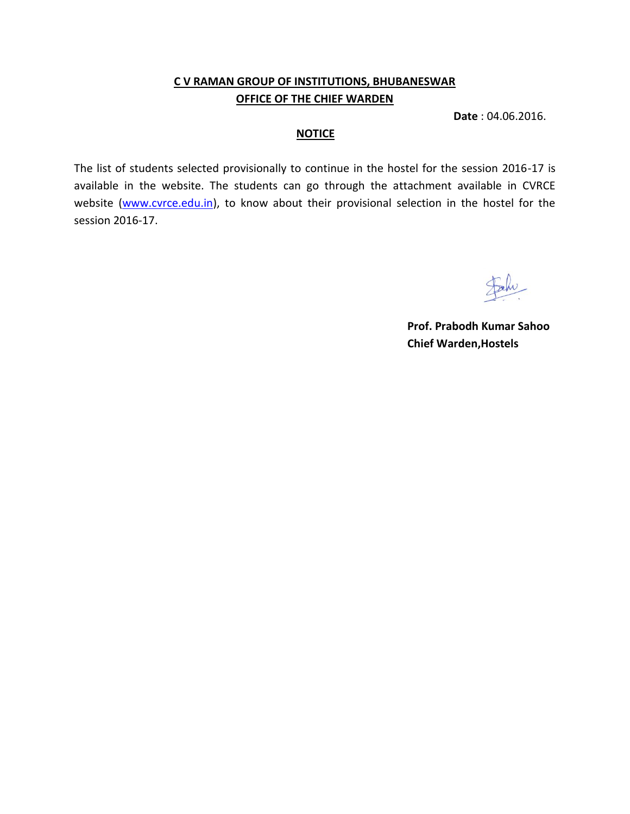# **C V RAMAN GROUP OF INSTITUTIONS, BHUBANESWAR OFFICE OF THE CHIEF WARDEN**

**Date** : 04.06.2016.

### **NOTICE**

The list of students selected provisionally to continue in the hostel for the session 2016-17 is available in the website. The students can go through the attachment available in CVRCE website [\(www.cvrce.edu.in\)](http://www.cvrce.edu.in/), to know about their provisional selection in the hostel for the session 2016-17.

**Prof. Prabodh Kumar Sahoo Chief Warden,Hostels**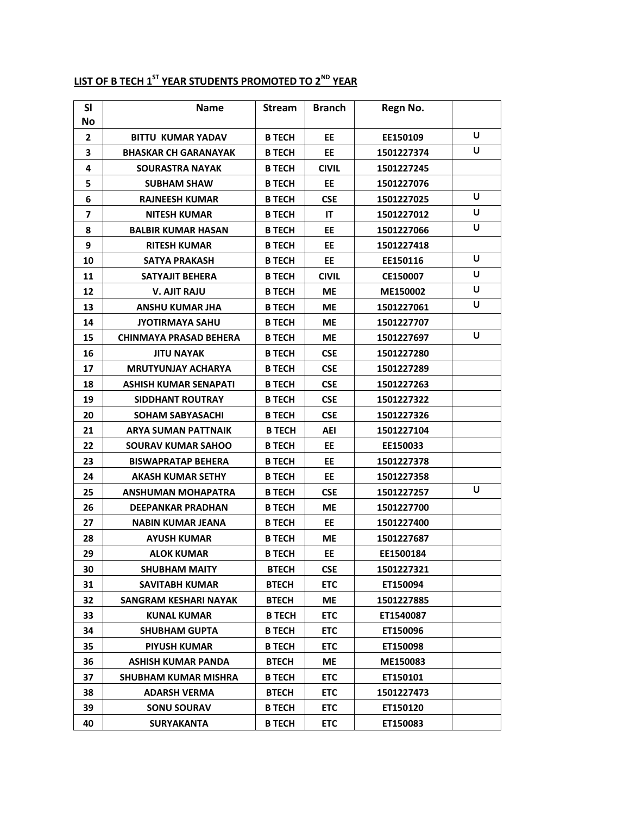| SI<br><b>No</b>         | <b>Name</b>                   | <b>Stream</b> | <b>Branch</b> | Regn No.   |   |
|-------------------------|-------------------------------|---------------|---------------|------------|---|
| $\mathbf{2}$            | <b>BITTU KUMAR YADAV</b>      | <b>B TECH</b> | EE            | EE150109   | U |
| 3                       | <b>BHASKAR CH GARANAYAK</b>   | <b>B TECH</b> | <b>EE</b>     | 1501227374 | U |
| 4                       | <b>SOURASTRA NAYAK</b>        | <b>B TECH</b> | <b>CIVIL</b>  | 1501227245 |   |
| 5                       | <b>SUBHAM SHAW</b>            | <b>B TECH</b> | <b>EE</b>     | 1501227076 |   |
| 6                       | <b>RAJNEESH KUMAR</b>         | <b>B TECH</b> | <b>CSE</b>    | 1501227025 | U |
| $\overline{\mathbf{z}}$ | <b>NITESH KUMAR</b>           | <b>B TECH</b> | IT            | 1501227012 | U |
| 8                       | <b>BALBIR KUMAR HASAN</b>     | <b>B TECH</b> | EE            | 1501227066 | U |
| 9                       | <b>RITESH KUMAR</b>           | <b>B TECH</b> | <b>EE</b>     | 1501227418 |   |
| 10                      | <b>SATYA PRAKASH</b>          | <b>B TECH</b> | EE            | EE150116   | U |
| 11                      | SATYAJIT BEHERA               | <b>B TECH</b> | <b>CIVIL</b>  | CE150007   | U |
| 12                      | <b>V. AJIT RAJU</b>           | <b>B TECH</b> | МE            | ME150002   | U |
| 13                      | ANSHU KUMAR JHA               | <b>B TECH</b> | <b>ME</b>     | 1501227061 | U |
| 14                      | <b>JYOTIRMAYA SAHU</b>        | <b>B TECH</b> | МE            | 1501227707 |   |
| 15                      | <b>CHINMAYA PRASAD BEHERA</b> | <b>B TECH</b> | <b>ME</b>     | 1501227697 | U |
| 16                      | <b>JITU NAYAK</b>             | <b>B TECH</b> | <b>CSE</b>    | 1501227280 |   |
| 17                      | <b>MRUTYUNJAY ACHARYA</b>     | <b>B TECH</b> | <b>CSE</b>    | 1501227289 |   |
| 18                      | ASHISH KUMAR SENAPATI         | <b>B TECH</b> | <b>CSE</b>    | 1501227263 |   |
| 19                      | <b>SIDDHANT ROUTRAY</b>       | <b>B TECH</b> | <b>CSE</b>    | 1501227322 |   |
| 20                      | <b>SOHAM SABYASACHI</b>       | <b>B TECH</b> | <b>CSE</b>    | 1501227326 |   |
| 21                      | <b>ARYA SUMAN PATTNAIK</b>    | <b>B TECH</b> | AEI           | 1501227104 |   |
| 22                      | <b>SOURAV KUMAR SAHOO</b>     | <b>B TECH</b> | EE            | EE150033   |   |
| 23                      | <b>BISWAPRATAP BEHERA</b>     | <b>B TECH</b> | EE            | 1501227378 |   |
| 24                      | <b>AKASH KUMAR SETHY</b>      | <b>B TECH</b> | EE            | 1501227358 |   |
| 25                      | ANSHUMAN MOHAPATRA            | <b>B TECH</b> | <b>CSE</b>    | 1501227257 | U |
| 26                      | <b>DEEPANKAR PRADHAN</b>      | <b>B TECH</b> | <b>ME</b>     | 1501227700 |   |
| 27                      | <b>NABIN KUMAR JEANA</b>      | <b>B TECH</b> | EE            | 1501227400 |   |
| 28                      | <b>AYUSH KUMAR</b>            | <b>B TECH</b> | <b>ME</b>     | 1501227687 |   |
| 29                      | <b>ALOK KUMAR</b>             | <b>B TECH</b> | EE            | EE1500184  |   |
| 30                      | <b>SHUBHAM MAITY</b>          | <b>BTECH</b>  | <b>CSE</b>    | 1501227321 |   |
| 31                      | <b>SAVITABH KUMAR</b>         | <b>BTECH</b>  | <b>ETC</b>    | ET150094   |   |
| 32                      | <b>SANGRAM KESHARI NAYAK</b>  | <b>BTECH</b>  | МE            | 1501227885 |   |
| 33                      | <b>KUNAL KUMAR</b>            | <b>B TECH</b> | <b>ETC</b>    | ET1540087  |   |
| 34                      | <b>SHUBHAM GUPTA</b>          | <b>B TECH</b> | <b>ETC</b>    | ET150096   |   |
| 35                      | <b>PIYUSH KUMAR</b>           | <b>B TECH</b> | <b>ETC</b>    | ET150098   |   |
| 36                      | ASHISH KUMAR PANDA            | <b>BTECH</b>  | МE            | ME150083   |   |
| 37                      | SHUBHAM KUMAR MISHRA          | <b>B TECH</b> | <b>ETC</b>    | ET150101   |   |
| 38                      | <b>ADARSH VERMA</b>           | <b>BTECH</b>  | <b>ETC</b>    | 1501227473 |   |
| 39                      | <b>SONU SOURAV</b>            | <b>B TECH</b> | <b>ETC</b>    | ET150120   |   |
| 40                      | <b>SURYAKANTA</b>             | <b>B TECH</b> | <b>ETC</b>    | ET150083   |   |

# **LIST OF B TECH 1ST YEAR STUDENTS PROMOTED TO 2ND YEAR**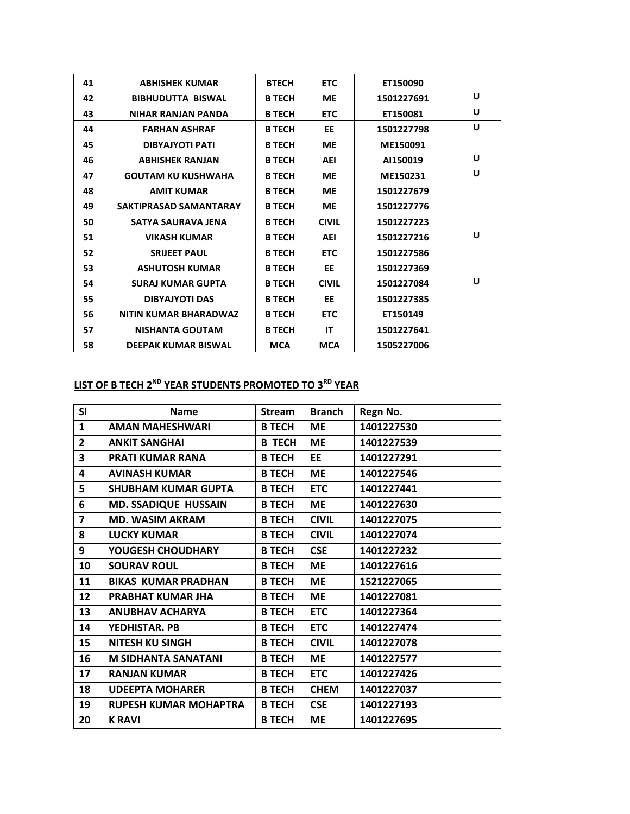| 41 | <b>ABHISHEK KUMAR</b>        | <b>BTECH</b>  | <b>ETC</b>   | ET150090   |   |
|----|------------------------------|---------------|--------------|------------|---|
| 42 | <b>BIBHUDUTTA BISWAL</b>     | <b>B TECH</b> | <b>ME</b>    | 1501227691 | U |
| 43 | <b>NIHAR RANJAN PANDA</b>    | <b>B TECH</b> | <b>ETC</b>   | ET150081   | U |
| 44 | <b>FARHAN ASHRAF</b>         | <b>B TECH</b> | EE           | 1501227798 | U |
| 45 | <b>DIBYAJYOTI PATI</b>       | <b>B TECH</b> | <b>ME</b>    | ME150091   |   |
| 46 | <b>ABHISHEK RANJAN</b>       | <b>B TECH</b> | AEI          | AI150019   | U |
| 47 | <b>GOUTAM KU KUSHWAHA</b>    | <b>B TECH</b> | <b>ME</b>    | ME150231   | U |
| 48 | <b>AMIT KUMAR</b>            | <b>B TECH</b> | <b>ME</b>    | 1501227679 |   |
| 49 | SAKTIPRASAD SAMANTARAY       | <b>B TECH</b> | <b>ME</b>    | 1501227776 |   |
| 50 | SATYA SAURAVA JENA           | <b>B TECH</b> | <b>CIVIL</b> | 1501227223 |   |
| 51 | <b>VIKASH KUMAR</b>          | <b>B TECH</b> | <b>AEI</b>   | 1501227216 | U |
| 52 | <b>SRIJEET PAUL</b>          | <b>B TECH</b> | <b>ETC</b>   | 1501227586 |   |
| 53 | <b>ASHUTOSH KUMAR</b>        | <b>B TECH</b> | <b>EE</b>    | 1501227369 |   |
| 54 | <b>SURAJ KUMAR GUPTA</b>     | <b>B TECH</b> | <b>CIVIL</b> | 1501227084 | U |
| 55 | <b>DIBYAJYOTI DAS</b>        | <b>B TECH</b> | EE           | 1501227385 |   |
| 56 | <b>NITIN KUMAR BHARADWAZ</b> | <b>B TECH</b> | <b>ETC</b>   | ET150149   |   |
| 57 | <b>NISHANTA GOUTAM</b>       | <b>B TECH</b> | IT           | 1501227641 |   |
| 58 | <b>DEEPAK KUMAR BISWAL</b>   | <b>MCA</b>    | <b>MCA</b>   | 1505227006 |   |
|    |                              |               |              |            |   |

#### **LIST OF B TECH 2 ND YEAR STUDENTS PROMOTED TO 3RD YEAR**

| <b>SI</b>               | <b>Name</b>                  | <b>Stream</b> | <b>Branch</b> | Regn No.   |
|-------------------------|------------------------------|---------------|---------------|------------|
| $\mathbf{1}$            | <b>AMAN MAHESHWARI</b>       | <b>B TECH</b> | <b>ME</b>     | 1401227530 |
| $\overline{2}$          | <b>ANKIT SANGHAI</b>         | <b>B TECH</b> | <b>ME</b>     | 1401227539 |
| 3                       | <b>PRATI KUMAR RANA</b>      | <b>B TECH</b> | EE.           | 1401227291 |
| 4                       | <b>AVINASH KUMAR</b>         | <b>B TECH</b> | ME            | 1401227546 |
| 5                       | <b>SHUBHAM KUMAR GUPTA</b>   | <b>B TECH</b> | <b>ETC</b>    | 1401227441 |
| 6                       | <b>MD. SSADIQUE HUSSAIN</b>  | <b>B TECH</b> | <b>ME</b>     | 1401227630 |
| $\overline{\mathbf{z}}$ | <b>MD. WASIM AKRAM</b>       | <b>B TECH</b> | <b>CIVIL</b>  | 1401227075 |
| 8                       | <b>LUCKY KUMAR</b>           | <b>B TECH</b> | <b>CIVIL</b>  | 1401227074 |
| 9                       | YOUGESH CHOUDHARY            | <b>B TECH</b> | <b>CSE</b>    | 1401227232 |
| 10                      | <b>SOURAV ROUL</b>           | <b>B TECH</b> | <b>ME</b>     | 1401227616 |
| 11                      | <b>BIKAS KUMAR PRADHAN</b>   | <b>B TECH</b> | <b>ME</b>     | 1521227065 |
| 12                      | <b>PRABHAT KUMAR JHA</b>     | <b>B TECH</b> | ME            | 1401227081 |
| 13                      | <b>ANUBHAV ACHARYA</b>       | <b>B TECH</b> | <b>ETC</b>    | 1401227364 |
| 14                      | YEDHISTAR, PB                | <b>B TECH</b> | <b>ETC</b>    | 1401227474 |
| 15                      | <b>NITESH KU SINGH</b>       | <b>B TECH</b> | <b>CIVIL</b>  | 1401227078 |
| 16                      | <b>M SIDHANTA SANATANI</b>   | <b>B TECH</b> | <b>ME</b>     | 1401227577 |
| 17                      | <b>RANJAN KUMAR</b>          | <b>B TECH</b> | <b>ETC</b>    | 1401227426 |
| 18                      | <b>UDEEPTA MOHARER</b>       | <b>B TECH</b> | <b>CHEM</b>   | 1401227037 |
| 19                      | <b>RUPESH KUMAR MOHAPTRA</b> | <b>B TECH</b> | <b>CSE</b>    | 1401227193 |
| 20                      | <b>K RAVI</b>                | <b>B TECH</b> | <b>ME</b>     | 1401227695 |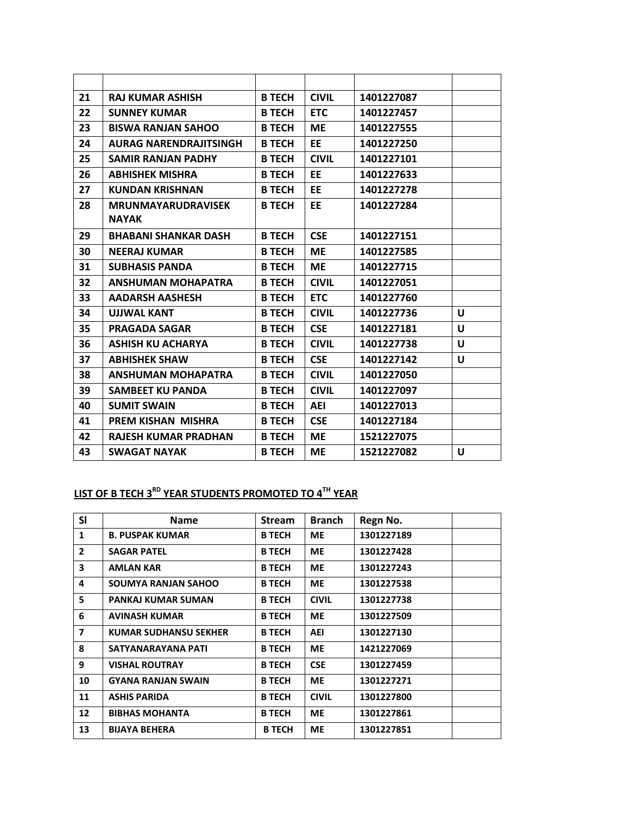| 21 | <b>RAJ KUMAR ASHISH</b>       | <b>B TECH</b> | <b>CIVIL</b> | 1401227087 |   |
|----|-------------------------------|---------------|--------------|------------|---|
| 22 | <b>SUNNEY KUMAR</b>           | <b>B TECH</b> | <b>ETC</b>   | 1401227457 |   |
| 23 | <b>BISWA RANJAN SAHOO</b>     | <b>B TECH</b> | <b>ME</b>    | 1401227555 |   |
| 24 | <b>AURAG NARENDRAJITSINGH</b> | <b>B TECH</b> | <b>EE</b>    | 1401227250 |   |
| 25 | <b>SAMIR RANJAN PADHY</b>     | <b>B TECH</b> | <b>CIVIL</b> | 1401227101 |   |
| 26 | <b>ABHISHEK MISHRA</b>        | <b>B TECH</b> | EE           | 1401227633 |   |
| 27 | <b>KUNDAN KRISHNAN</b>        | <b>B TECH</b> | EE           | 1401227278 |   |
| 28 | <b>MRUNMAYARUDRAVISEK</b>     | <b>B TECH</b> | EE           | 1401227284 |   |
|    | <b>NAYAK</b>                  |               |              |            |   |
| 29 | <b>BHABANI SHANKAR DASH</b>   | <b>B TECH</b> | <b>CSE</b>   | 1401227151 |   |
| 30 | <b>NEERAJ KUMAR</b>           | <b>B TECH</b> | <b>ME</b>    | 1401227585 |   |
| 31 | <b>SUBHASIS PANDA</b>         | <b>B TECH</b> | <b>ME</b>    | 1401227715 |   |
| 32 | <b>ANSHUMAN MOHAPATRA</b>     | <b>B TECH</b> | <b>CIVIL</b> | 1401227051 |   |
| 33 | <b>AADARSH AASHESH</b>        | <b>B TECH</b> | <b>ETC</b>   | 1401227760 |   |
| 34 | <b>UJJWAL KANT</b>            | <b>B TECH</b> | <b>CIVIL</b> | 1401227736 | U |
| 35 | <b>PRAGADA SAGAR</b>          | <b>B TECH</b> | <b>CSE</b>   | 1401227181 | U |
| 36 | <b>ASHISH KU ACHARYA</b>      | <b>B TECH</b> | <b>CIVIL</b> | 1401227738 | U |
| 37 | <b>ABHISHEK SHAW</b>          | <b>B TECH</b> | <b>CSE</b>   | 1401227142 | U |
| 38 | <b>ANSHUMAN MOHAPATRA</b>     | <b>B TECH</b> | <b>CIVIL</b> | 1401227050 |   |
| 39 | <b>SAMBEET KU PANDA</b>       | <b>B TECH</b> | <b>CIVIL</b> | 1401227097 |   |
| 40 | <b>SUMIT SWAIN</b>            | <b>B TECH</b> | <b>AEI</b>   | 1401227013 |   |
| 41 | <b>PREM KISHAN MISHRA</b>     | <b>B TECH</b> | <b>CSE</b>   | 1401227184 |   |
| 42 | <b>RAJESH KUMAR PRADHAN</b>   | <b>B TECH</b> | <b>ME</b>    | 1521227075 |   |
| 43 | <b>SWAGAT NAYAK</b>           | <b>B TECH</b> | <b>ME</b>    | 1521227082 | U |
|    |                               |               |              |            |   |

## **LIST OF B TECH 3 RD YEAR STUDENTS PROMOTED TO 4TH YEAR**

| <b>SI</b>               | <b>Name</b>                  | <b>Stream</b> | <b>Branch</b> | Regn No.   |
|-------------------------|------------------------------|---------------|---------------|------------|
| 1                       | <b>B. PUSPAK KUMAR</b>       | <b>B TECH</b> | <b>ME</b>     | 1301227189 |
| $\overline{2}$          | <b>SAGAR PATEL</b>           | <b>B TECH</b> | <b>ME</b>     | 1301227428 |
| $\overline{\mathbf{3}}$ | <b>AMLAN KAR</b>             | <b>B TECH</b> | <b>ME</b>     | 1301227243 |
| 4                       | <b>SOUMYA RANJAN SAHOO</b>   | <b>B TECH</b> | <b>ME</b>     | 1301227538 |
| 5                       | <b>PANKAJ KUMAR SUMAN</b>    | <b>B TECH</b> | <b>CIVIL</b>  | 1301227738 |
| 6                       | <b>AVINASH KUMAR</b>         | <b>B TECH</b> | <b>ME</b>     | 1301227509 |
| $\overline{\mathbf{z}}$ | <b>KUMAR SUDHANSU SEKHER</b> | <b>B TECH</b> | <b>AEI</b>    | 1301227130 |
| 8                       | SATYANARAYANA PATI           | <b>B TECH</b> | <b>ME</b>     | 1421227069 |
| 9                       | <b>VISHAL ROUTRAY</b>        | <b>B TECH</b> | <b>CSE</b>    | 1301227459 |
| 10                      | <b>GYANA RANJAN SWAIN</b>    | <b>B TECH</b> | <b>ME</b>     | 1301227271 |
| 11                      | <b>ASHIS PARIDA</b>          | <b>B TECH</b> | <b>CIVIL</b>  | 1301227800 |
| 12                      | <b>BIBHAS MOHANTA</b>        | <b>B TECH</b> | <b>ME</b>     | 1301227861 |
| 13                      | <b>BIJAYA BEHERA</b>         | <b>B TECH</b> | <b>ME</b>     | 1301227851 |